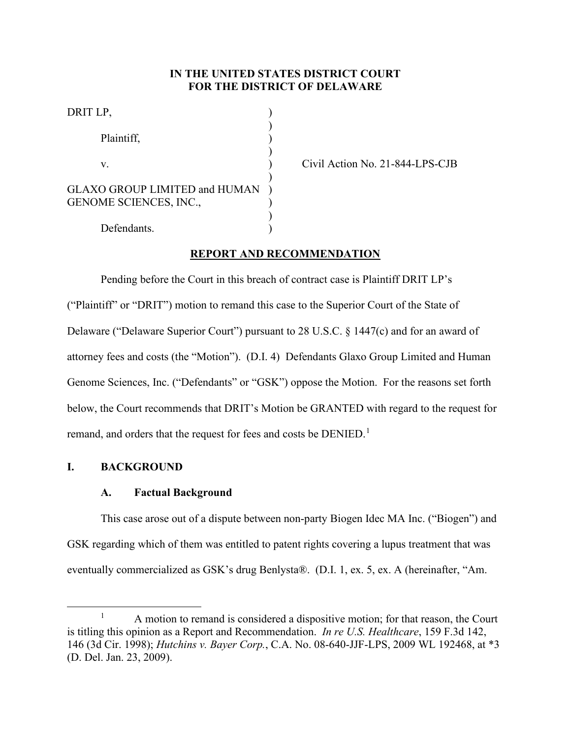# **IN THE UNITED STATES DISTRICT COURT FOR THE DISTRICT OF DELAWARE**

| DRIT LP,                                     |  |
|----------------------------------------------|--|
| Plaintiff,                                   |  |
| V.                                           |  |
| <b>GLAXO GROUP LIMITED and HUMAN</b>         |  |
| <b>GENOME SCIENCES, INC.,</b><br>Defendants. |  |
|                                              |  |

Civil Action No. 21-844-LPS-CJB

# **REPORT AND RECOMMENDATION**

Pending before the Court in this breach of contract case is Plaintiff DRIT LP's ("Plaintiff" or "DRIT") motion to remand this case to the Superior Court of the State of Delaware ("Delaware Superior Court") pursuant to 28 U.S.C. § 1447(c) and for an award of attorney fees and costs (the "Motion"). (D.I. 4) Defendants Glaxo Group Limited and Human Genome Sciences, Inc. ("Defendants" or "GSK") oppose the Motion. For the reasons set forth below, the Court recommends that DRIT's Motion be GRANTED with regard to the request for remand, and orders that the request for fees and costs be  $\rm{DENIED.}^1$ 

# **I. BACKGROUND**

# **A. Factual Background**

This case arose out of a dispute between non-party Biogen Idec MA Inc. ("Biogen") and GSK regarding which of them was entitled to patent rights covering a lupus treatment that was eventually commercialized as GSK's drug Benlysta®. (D.I. 1, ex. 5, ex. A (hereinafter, "Am.

<sup>&</sup>lt;sup>1</sup> A motion to remand is considered a dispositive motion; for that reason, the Court is titling this opinion as a Report and Recommendation. *In re U.S. Healthcare*, 159 F.3d 142, 146 (3d Cir. 1998); *Hutchins v. Bayer Corp.*, C.A. No. 08-640-JJF-LPS, 2009 WL 192468, at \*3 (D. Del. Jan. 23, 2009).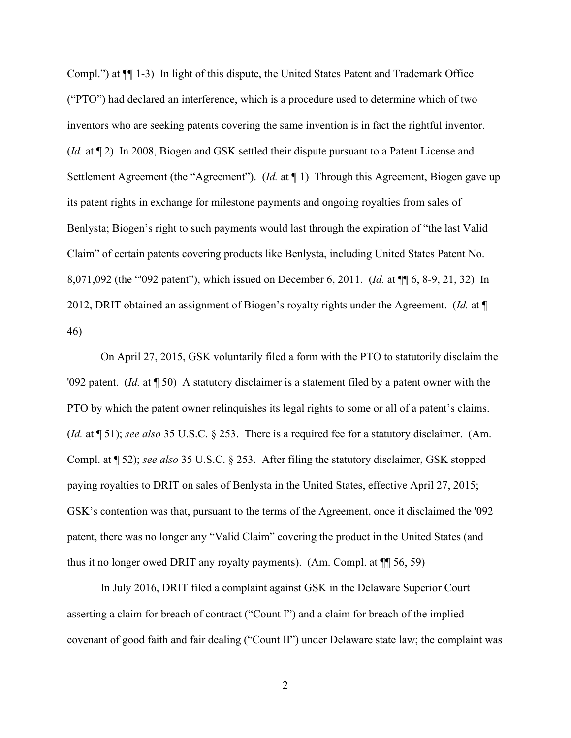Compl.") at ¶¶ 1-3) In light of this dispute, the United States Patent and Trademark Office ("PTO") had declared an interference, which is a procedure used to determine which of two inventors who are seeking patents covering the same invention is in fact the rightful inventor. (*Id.* at ¶ 2) In 2008, Biogen and GSK settled their dispute pursuant to a Patent License and Settlement Agreement (the "Agreement"). (*Id.* at ¶ 1) Through this Agreement, Biogen gave up its patent rights in exchange for milestone payments and ongoing royalties from sales of Benlysta; Biogen's right to such payments would last through the expiration of "the last Valid Claim" of certain patents covering products like Benlysta, including United States Patent No. 8,071,092 (the "'092 patent"), which issued on December 6, 2011. (*Id.* at ¶¶ 6, 8-9, 21, 32) In 2012, DRIT obtained an assignment of Biogen's royalty rights under the Agreement. (*Id.* at ¶ 46)

On April 27, 2015, GSK voluntarily filed a form with the PTO to statutorily disclaim the '092 patent. (*Id.* at ¶ 50) A statutory disclaimer is a statement filed by a patent owner with the PTO by which the patent owner relinquishes its legal rights to some or all of a patent's claims. (*Id.* at ¶ 51); *see also* 35 U.S.C. § 253. There is a required fee for a statutory disclaimer. (Am. Compl. at ¶ 52); *see also* 35 U.S.C. § 253. After filing the statutory disclaimer, GSK stopped paying royalties to DRIT on sales of Benlysta in the United States, effective April 27, 2015; GSK's contention was that, pursuant to the terms of the Agreement, once it disclaimed the '092 patent, there was no longer any "Valid Claim" covering the product in the United States (and thus it no longer owed DRIT any royalty payments). (Am. Compl. at ¶¶ 56, 59)

In July 2016, DRIT filed a complaint against GSK in the Delaware Superior Court asserting a claim for breach of contract ("Count I") and a claim for breach of the implied covenant of good faith and fair dealing ("Count II") under Delaware state law; the complaint was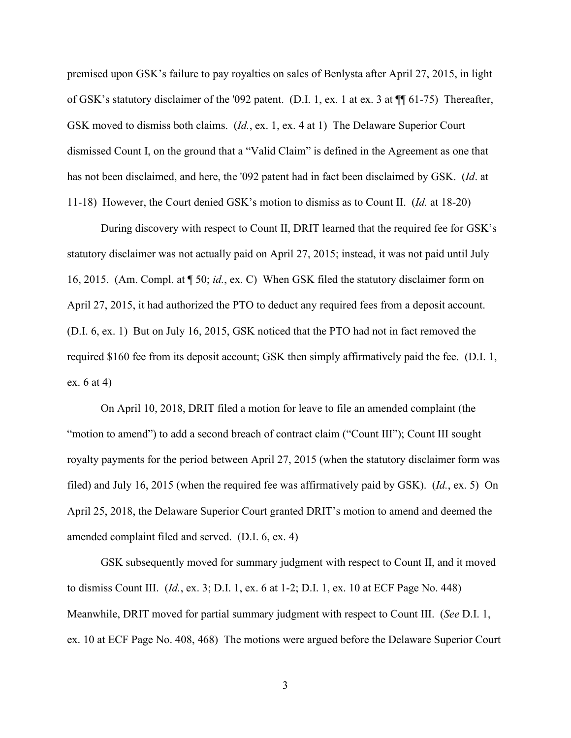premised upon GSK's failure to pay royalties on sales of Benlysta after April 27, 2015, in light of GSK's statutory disclaimer of the '092 patent. (D.I. 1, ex. 1 at ex. 3 at ¶¶ 61-75) Thereafter, GSK moved to dismiss both claims. (*Id.*, ex. 1, ex. 4 at 1) The Delaware Superior Court dismissed Count I, on the ground that a "Valid Claim" is defined in the Agreement as one that has not been disclaimed, and here, the '092 patent had in fact been disclaimed by GSK. (*Id*. at 11-18) However, the Court denied GSK's motion to dismiss as to Count II. (*Id.* at 18-20)

During discovery with respect to Count II, DRIT learned that the required fee for GSK's statutory disclaimer was not actually paid on April 27, 2015; instead, it was not paid until July 16, 2015. (Am. Compl. at ¶ 50; *id.*, ex. C) When GSK filed the statutory disclaimer form on April 27, 2015, it had authorized the PTO to deduct any required fees from a deposit account. (D.I. 6, ex. 1) But on July 16, 2015, GSK noticed that the PTO had not in fact removed the required \$160 fee from its deposit account; GSK then simply affirmatively paid the fee. (D.I. 1, ex. 6 at 4)

On April 10, 2018, DRIT filed a motion for leave to file an amended complaint (the "motion to amend") to add a second breach of contract claim ("Count III"); Count III sought royalty payments for the period between April 27, 2015 (when the statutory disclaimer form was filed) and July 16, 2015 (when the required fee was affirmatively paid by GSK). (*Id.*, ex. 5) On April 25, 2018, the Delaware Superior Court granted DRIT's motion to amend and deemed the amended complaint filed and served. (D.I. 6, ex. 4)

GSK subsequently moved for summary judgment with respect to Count II, and it moved to dismiss Count III. (*Id.*, ex. 3; D.I. 1, ex. 6 at 1-2; D.I. 1, ex. 10 at ECF Page No. 448) Meanwhile, DRIT moved for partial summary judgment with respect to Count III. (*See* D.I. 1, ex. 10 at ECF Page No. 408, 468) The motions were argued before the Delaware Superior Court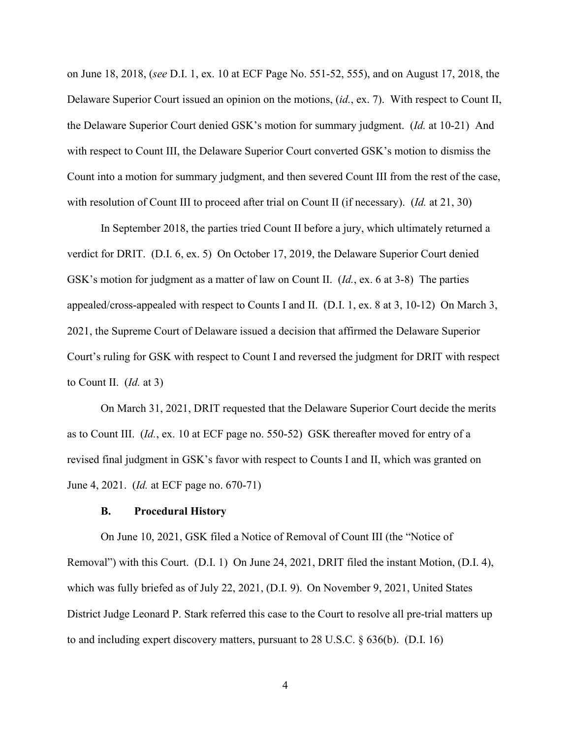on June 18, 2018, (*see* D.I. 1, ex. 10 at ECF Page No. 551-52, 555), and on August 17, 2018, the Delaware Superior Court issued an opinion on the motions, (*id.*, ex. 7). With respect to Count II, the Delaware Superior Court denied GSK's motion for summary judgment. (*Id.* at 10-21) And with respect to Count III, the Delaware Superior Court converted GSK's motion to dismiss the Count into a motion for summary judgment, and then severed Count III from the rest of the case, with resolution of Count III to proceed after trial on Count II (if necessary). (*Id.* at 21, 30)

In September 2018, the parties tried Count II before a jury, which ultimately returned a verdict for DRIT. (D.I. 6, ex. 5) On October 17, 2019, the Delaware Superior Court denied GSK's motion for judgment as a matter of law on Count II. (*Id.*, ex. 6 at 3-8) The parties appealed/cross-appealed with respect to Counts I and II. (D.I. 1, ex. 8 at 3, 10-12) On March 3, 2021, the Supreme Court of Delaware issued a decision that affirmed the Delaware Superior Court's ruling for GSK with respect to Count I and reversed the judgment for DRIT with respect to Count II. (*Id.* at 3)

On March 31, 2021, DRIT requested that the Delaware Superior Court decide the merits as to Count III. (*Id.*, ex. 10 at ECF page no. 550-52) GSK thereafter moved for entry of a revised final judgment in GSK's favor with respect to Counts I and II, which was granted on June 4, 2021. (*Id.* at ECF page no. 670-71)

### **B. Procedural History**

On June 10, 2021, GSK filed a Notice of Removal of Count III (the "Notice of Removal") with this Court. (D.I. 1) On June 24, 2021, DRIT filed the instant Motion, (D.I. 4), which was fully briefed as of July 22, 2021, (D.I. 9). On November 9, 2021, United States District Judge Leonard P. Stark referred this case to the Court to resolve all pre-trial matters up to and including expert discovery matters, pursuant to 28 U.S.C. § 636(b). (D.I. 16)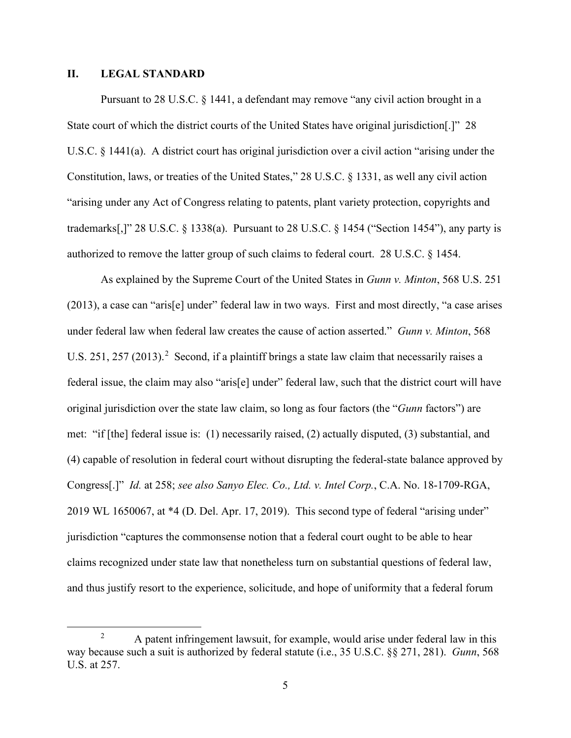### **II. LEGAL STANDARD**

Pursuant to 28 U.S.C. § 1441, a defendant may remove "any civil action brought in a State court of which the district courts of the United States have original jurisdiction[.]" 28 U.S.C. § 1441(a). A district court has original jurisdiction over a civil action "arising under the Constitution, laws, or treaties of the United States," 28 U.S.C. § 1331, as well any civil action "arising under any Act of Congress relating to patents, plant variety protection, copyrights and trademarks[,]" 28 U.S.C. § 1338(a). Pursuant to 28 U.S.C. § 1454 ("Section 1454"), any party is authorized to remove the latter group of such claims to federal court. 28 U.S.C. § 1454.

As explained by the Supreme Court of the United States in *Gunn v. Minton*, 568 U.S. 251 (2013), a case can "aris[e] under" federal law in two ways. First and most directly, "a case arises under federal law when federal law creates the cause of action asserted." *Gunn v. Minton*, 568 U.S. 251, 257 (2013).<sup>2</sup> Second, if a plaintiff brings a state law claim that necessarily raises a federal issue, the claim may also "aris[e] under" federal law, such that the district court will have original jurisdiction over the state law claim, so long as four factors (the "*Gunn* factors") are met: "if [the] federal issue is: (1) necessarily raised, (2) actually disputed, (3) substantial, and (4) capable of resolution in federal court without disrupting the federal-state balance approved by Congress[.]" *Id.* at 258; *see also Sanyo Elec. Co., Ltd. v. Intel Corp.*, C.A. No. 18-1709-RGA, 2019 WL 1650067, at \*4 (D. Del. Apr. 17, 2019). This second type of federal "arising under" jurisdiction "captures the commonsense notion that a federal court ought to be able to hear claims recognized under state law that nonetheless turn on substantial questions of federal law, and thus justify resort to the experience, solicitude, and hope of uniformity that a federal forum

<sup>&</sup>lt;sup>2</sup> A patent infringement lawsuit, for example, would arise under federal law in this way because such a suit is authorized by federal statute (i.e., 35 U.S.C. §§ 271, 281). *Gunn*, 568 U.S. at 257.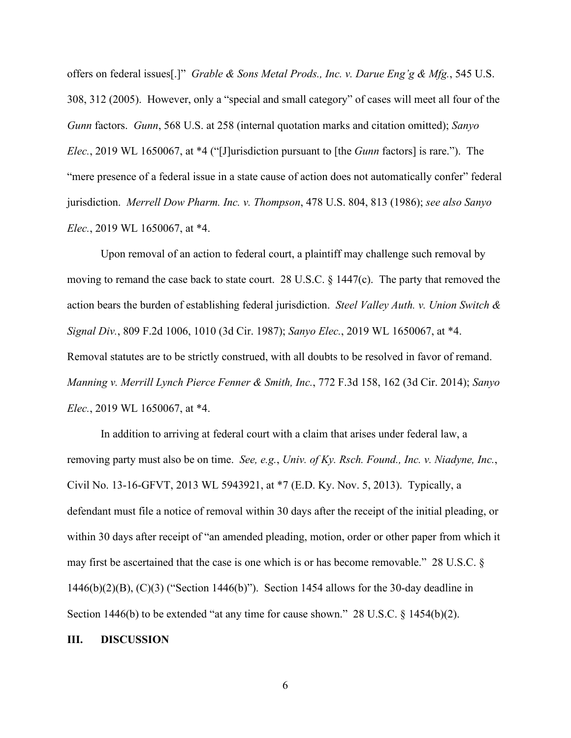offers on federal issues[.]" *Grable & Sons Metal Prods., Inc. v. Darue Eng'g & Mfg.*, 545 U.S. 308, 312 (2005). However, only a "special and small category" of cases will meet all four of the *Gunn* factors. *Gunn*, 568 U.S. at 258 (internal quotation marks and citation omitted); *Sanyo Elec.*, 2019 WL 1650067, at \*4 ("[J]urisdiction pursuant to [the *Gunn* factors] is rare."). The "mere presence of a federal issue in a state cause of action does not automatically confer" federal jurisdiction. *Merrell Dow Pharm. Inc. v. Thompson*, 478 U.S. 804, 813 (1986); *see also Sanyo Elec.*, 2019 WL 1650067, at \*4.

Upon removal of an action to federal court, a plaintiff may challenge such removal by moving to remand the case back to state court. 28 U.S.C. § 1447(c). The party that removed the action bears the burden of establishing federal jurisdiction. *Steel Valley Auth. v. Union Switch & Signal Div.*, 809 F.2d 1006, 1010 (3d Cir. 1987); *Sanyo Elec.*, 2019 WL 1650067, at \*4. Removal statutes are to be strictly construed, with all doubts to be resolved in favor of remand. *Manning v. Merrill Lynch Pierce Fenner & Smith, Inc.*, 772 F.3d 158, 162 (3d Cir. 2014); *Sanyo Elec.*, 2019 WL 1650067, at \*4.

In addition to arriving at federal court with a claim that arises under federal law, a removing party must also be on time. *See, e.g.*, *Univ. of Ky. Rsch. Found., Inc. v. Niadyne, Inc.*, Civil No. 13-16-GFVT, 2013 WL 5943921, at \*7 (E.D. Ky. Nov. 5, 2013). Typically, a defendant must file a notice of removal within 30 days after the receipt of the initial pleading, or within 30 days after receipt of "an amended pleading, motion, order or other paper from which it may first be ascertained that the case is one which is or has become removable." 28 U.S.C. § 1446(b)(2)(B), (C)(3) ("Section 1446(b)"). Section 1454 allows for the 30-day deadline in Section 1446(b) to be extended "at any time for cause shown." 28 U.S.C. § 1454(b)(2).

#### **III. DISCUSSION**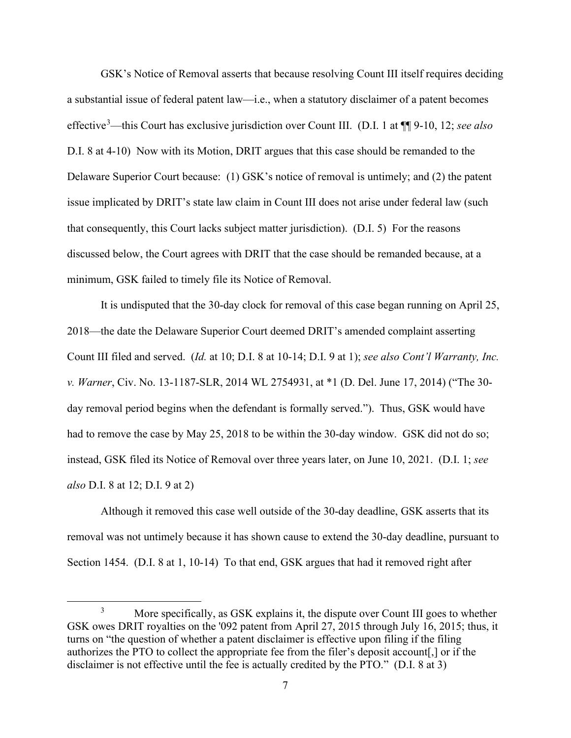GSK's Notice of Removal asserts that because resolving Count III itself requires deciding a substantial issue of federal patent law—i.e., when a statutory disclaimer of a patent becomes effective<sup>3</sup> —this Court has exclusive jurisdiction over Count III. (D.I. 1 at ¶¶ 9-10, 12; *see also*  D.I. 8 at 4-10) Now with its Motion, DRIT argues that this case should be remanded to the Delaware Superior Court because: (1) GSK's notice of removal is untimely; and (2) the patent issue implicated by DRIT's state law claim in Count III does not arise under federal law (such that consequently, this Court lacks subject matter jurisdiction). (D.I. 5) For the reasons discussed below, the Court agrees with DRIT that the case should be remanded because, at a minimum, GSK failed to timely file its Notice of Removal.

It is undisputed that the 30-day clock for removal of this case began running on April 25, 2018—the date the Delaware Superior Court deemed DRIT's amended complaint asserting Count III filed and served. (*Id.* at 10; D.I. 8 at 10-14; D.I. 9 at 1); *see also Cont'l Warranty, Inc. v. Warner*, Civ. No. 13-1187-SLR, 2014 WL 2754931, at \*1 (D. Del. June 17, 2014) ("The 30 day removal period begins when the defendant is formally served."). Thus, GSK would have had to remove the case by May 25, 2018 to be within the 30-day window. GSK did not do so; instead, GSK filed its Notice of Removal over three years later, on June 10, 2021. (D.I. 1; *see also* D.I. 8 at 12; D.I. 9 at 2)

Although it removed this case well outside of the 30-day deadline, GSK asserts that its removal was not untimely because it has shown cause to extend the 30-day deadline, pursuant to Section 1454. (D.I. 8 at 1, 10-14) To that end, GSK argues that had it removed right after

<sup>&</sup>lt;sup>3</sup> More specifically, as GSK explains it, the dispute over Count III goes to whether GSK owes DRIT royalties on the '092 patent from April 27, 2015 through July 16, 2015; thus, it turns on "the question of whether a patent disclaimer is effective upon filing if the filing authorizes the PTO to collect the appropriate fee from the filer's deposit account[,] or if the disclaimer is not effective until the fee is actually credited by the PTO." (D.I. 8 at 3)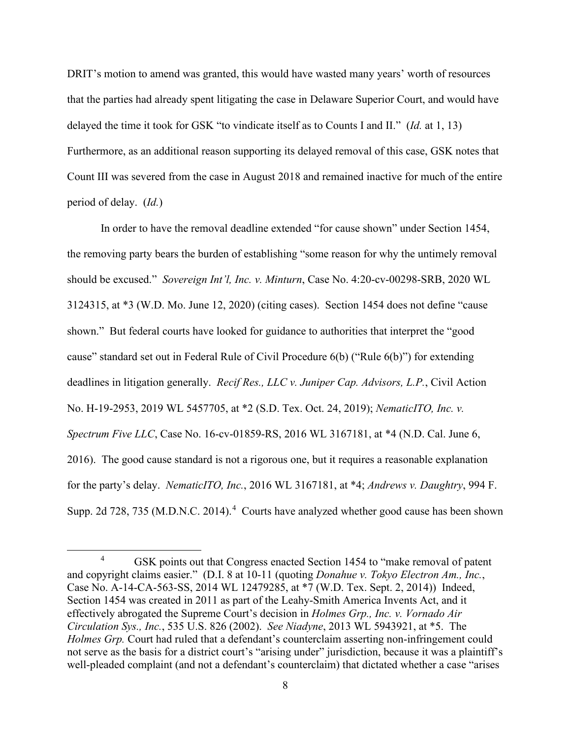DRIT's motion to amend was granted, this would have wasted many years' worth of resources that the parties had already spent litigating the case in Delaware Superior Court, and would have delayed the time it took for GSK "to vindicate itself as to Counts I and II." (*Id.* at 1, 13) Furthermore, as an additional reason supporting its delayed removal of this case, GSK notes that Count III was severed from the case in August 2018 and remained inactive for much of the entire period of delay. (*Id.*)

In order to have the removal deadline extended "for cause shown" under Section 1454, the removing party bears the burden of establishing "some reason for why the untimely removal should be excused." *Sovereign Int'l, Inc. v. Minturn*, Case No. 4:20-cv-00298-SRB, 2020 WL 3124315, at \*3 (W.D. Mo. June 12, 2020) (citing cases). Section 1454 does not define "cause shown." But federal courts have looked for guidance to authorities that interpret the "good cause" standard set out in Federal Rule of Civil Procedure 6(b) ("Rule 6(b)") for extending deadlines in litigation generally. *Recif Res., LLC v. Juniper Cap. Advisors, L.P.*, Civil Action No. H-19-2953, 2019 WL 5457705, at \*2 (S.D. Tex. Oct. 24, 2019); *NematicITO, Inc. v. Spectrum Five LLC*, Case No. 16-cv-01859-RS, 2016 WL 3167181, at \*4 (N.D. Cal. June 6, 2016). The good cause standard is not a rigorous one, but it requires a reasonable explanation for the party's delay. *NematicITO, Inc.*, 2016 WL 3167181, at \*4; *Andrews v. Daughtry*, 994 F. Supp. 2d 728, 735 (M.D.N.C. 2014).<sup>4</sup> Courts have analyzed whether good cause has been shown

<sup>&</sup>lt;sup>4</sup> GSK points out that Congress enacted Section 1454 to "make removal of patent" and copyright claims easier." (D.I. 8 at 10-11 (quoting *Donahue v. Tokyo Electron Am., Inc.*, Case No. A-14-CA-563-SS, 2014 WL 12479285, at \*7 (W.D. Tex. Sept. 2, 2014)) Indeed, Section 1454 was created in 2011 as part of the Leahy-Smith America Invents Act, and it effectively abrogated the Supreme Court's decision in *Holmes Grp., Inc. v. Vornado Air Circulation Sys., Inc.*, 535 U.S. 826 (2002). *See Niadyne*, 2013 WL 5943921, at \*5. The *Holmes Grp.* Court had ruled that a defendant's counterclaim asserting non-infringement could not serve as the basis for a district court's "arising under" jurisdiction, because it was a plaintiff's well-pleaded complaint (and not a defendant's counterclaim) that dictated whether a case "arises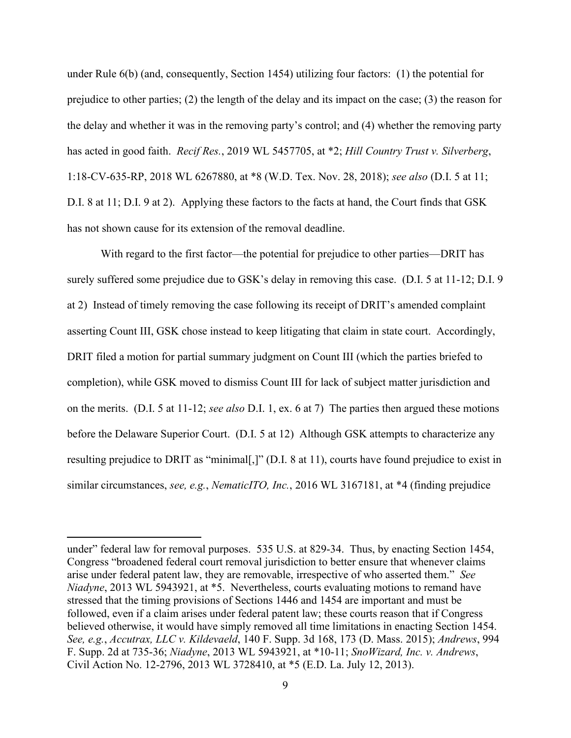under Rule 6(b) (and, consequently, Section 1454) utilizing four factors: (1) the potential for prejudice to other parties; (2) the length of the delay and its impact on the case; (3) the reason for the delay and whether it was in the removing party's control; and (4) whether the removing party has acted in good faith. *Recif Res.*, 2019 WL 5457705, at \*2; *Hill Country Trust v. Silverberg*, 1:18-CV-635-RP, 2018 WL 6267880, at \*8 (W.D. Tex. Nov. 28, 2018); *see also* (D.I. 5 at 11; D.I. 8 at 11; D.I. 9 at 2). Applying these factors to the facts at hand, the Court finds that GSK has not shown cause for its extension of the removal deadline.

With regard to the first factor—the potential for prejudice to other parties—DRIT has surely suffered some prejudice due to GSK's delay in removing this case. (D.I. 5 at 11-12; D.I. 9 at 2) Instead of timely removing the case following its receipt of DRIT's amended complaint asserting Count III, GSK chose instead to keep litigating that claim in state court. Accordingly, DRIT filed a motion for partial summary judgment on Count III (which the parties briefed to completion), while GSK moved to dismiss Count III for lack of subject matter jurisdiction and on the merits. (D.I. 5 at 11-12; *see also* D.I. 1, ex. 6 at 7) The parties then argued these motions before the Delaware Superior Court. (D.I. 5 at 12) Although GSK attempts to characterize any resulting prejudice to DRIT as "minimal[,]" (D.I. 8 at 11), courts have found prejudice to exist in similar circumstances, *see, e.g.*, *NematicITO, Inc.*, 2016 WL 3167181, at \*4 (finding prejudice

under" federal law for removal purposes. 535 U.S. at 829-34. Thus, by enacting Section 1454, Congress "broadened federal court removal jurisdiction to better ensure that whenever claims arise under federal patent law, they are removable, irrespective of who asserted them." *See Niadyne*, 2013 WL 5943921, at \*5. Nevertheless, courts evaluating motions to remand have stressed that the timing provisions of Sections 1446 and 1454 are important and must be followed, even if a claim arises under federal patent law; these courts reason that if Congress believed otherwise, it would have simply removed all time limitations in enacting Section 1454. *See, e.g.*, *Accutrax, LLC v. Kildevaeld*, 140 F. Supp. 3d 168, 173 (D. Mass. 2015); *Andrews*, 994 F. Supp. 2d at 735-36; *Niadyne*, 2013 WL 5943921, at \*10-11; *SnoWizard, Inc. v. Andrews*, Civil Action No. 12-2796, 2013 WL 3728410, at \*5 (E.D. La. July 12, 2013).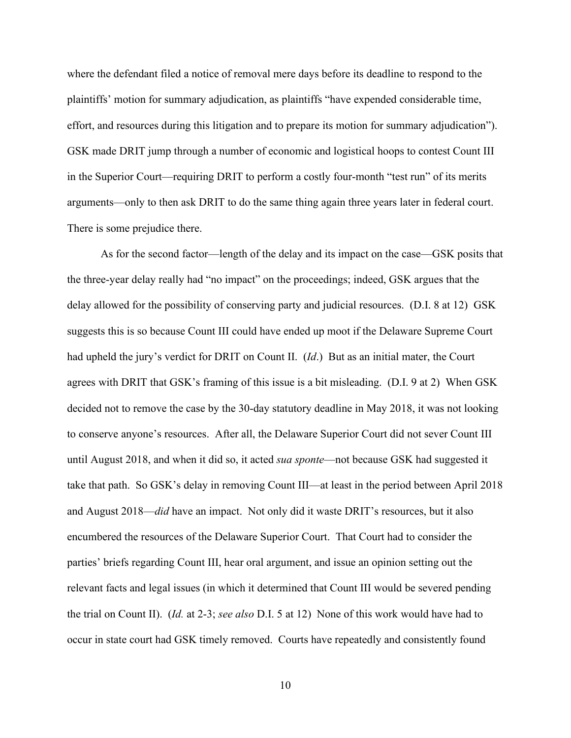where the defendant filed a notice of removal mere days before its deadline to respond to the plaintiffs' motion for summary adjudication, as plaintiffs "have expended considerable time, effort, and resources during this litigation and to prepare its motion for summary adjudication"). GSK made DRIT jump through a number of economic and logistical hoops to contest Count III in the Superior Court—requiring DRIT to perform a costly four-month "test run" of its merits arguments—only to then ask DRIT to do the same thing again three years later in federal court. There is some prejudice there.

As for the second factor—length of the delay and its impact on the case—GSK posits that the three-year delay really had "no impact" on the proceedings; indeed, GSK argues that the delay allowed for the possibility of conserving party and judicial resources. (D.I. 8 at 12) GSK suggests this is so because Count III could have ended up moot if the Delaware Supreme Court had upheld the jury's verdict for DRIT on Count II. (*Id*.) But as an initial mater, the Court agrees with DRIT that GSK's framing of this issue is a bit misleading. (D.I. 9 at 2) When GSK decided not to remove the case by the 30-day statutory deadline in May 2018, it was not looking to conserve anyone's resources. After all, the Delaware Superior Court did not sever Count III until August 2018, and when it did so, it acted *sua sponte*—not because GSK had suggested it take that path. So GSK's delay in removing Count III—at least in the period between April 2018 and August 2018—*did* have an impact. Not only did it waste DRIT's resources, but it also encumbered the resources of the Delaware Superior Court. That Court had to consider the parties' briefs regarding Count III, hear oral argument, and issue an opinion setting out the relevant facts and legal issues (in which it determined that Count III would be severed pending the trial on Count II). (*Id.* at 2-3; *see also* D.I. 5 at 12) None of this work would have had to occur in state court had GSK timely removed. Courts have repeatedly and consistently found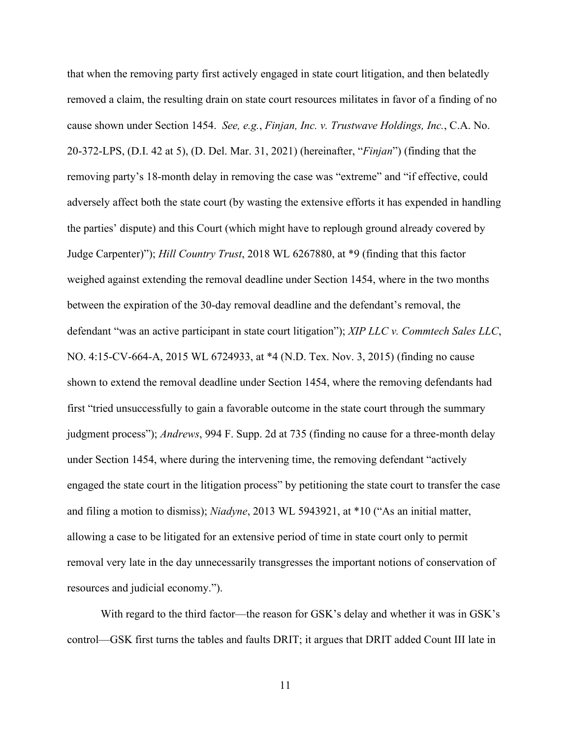that when the removing party first actively engaged in state court litigation, and then belatedly removed a claim, the resulting drain on state court resources militates in favor of a finding of no cause shown under Section 1454. *See, e.g.*, *Finjan, Inc. v. Trustwave Holdings, Inc.*, C.A. No. 20-372-LPS, (D.I. 42 at 5), (D. Del. Mar. 31, 2021) (hereinafter, "*Finjan*") (finding that the removing party's 18-month delay in removing the case was "extreme" and "if effective, could adversely affect both the state court (by wasting the extensive efforts it has expended in handling the parties' dispute) and this Court (which might have to replough ground already covered by Judge Carpenter)"); *Hill Country Trust*, 2018 WL 6267880, at \*9 (finding that this factor weighed against extending the removal deadline under Section 1454, where in the two months between the expiration of the 30-day removal deadline and the defendant's removal, the defendant "was an active participant in state court litigation"); *XIP LLC v. Commtech Sales LLC*, NO. 4:15-CV-664-A, 2015 WL 6724933, at \*4 (N.D. Tex. Nov. 3, 2015) (finding no cause shown to extend the removal deadline under Section 1454, where the removing defendants had first "tried unsuccessfully to gain a favorable outcome in the state court through the summary judgment process"); *Andrews*, 994 F. Supp. 2d at 735 (finding no cause for a three-month delay under Section 1454, where during the intervening time, the removing defendant "actively engaged the state court in the litigation process" by petitioning the state court to transfer the case and filing a motion to dismiss); *Niadyne*, 2013 WL 5943921, at \*10 ("As an initial matter, allowing a case to be litigated for an extensive period of time in state court only to permit removal very late in the day unnecessarily transgresses the important notions of conservation of resources and judicial economy.").

With regard to the third factor—the reason for GSK's delay and whether it was in GSK's control—GSK first turns the tables and faults DRIT; it argues that DRIT added Count III late in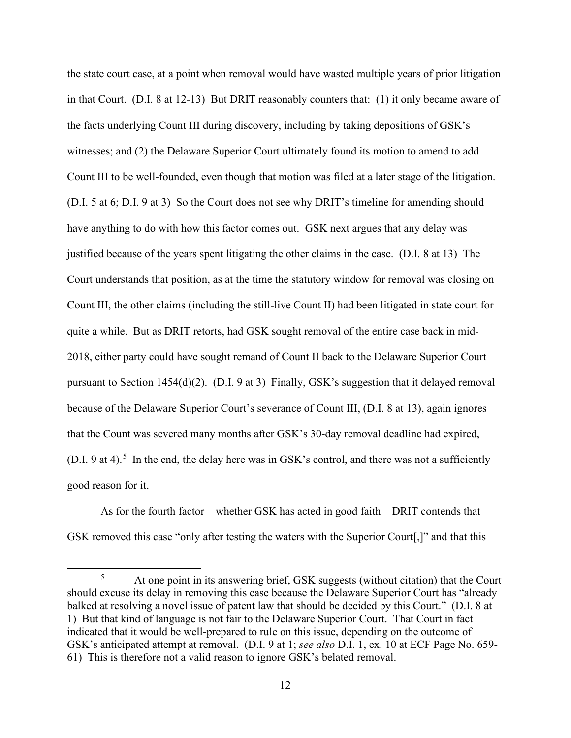the state court case, at a point when removal would have wasted multiple years of prior litigation in that Court. (D.I. 8 at 12-13) But DRIT reasonably counters that: (1) it only became aware of the facts underlying Count III during discovery, including by taking depositions of GSK's witnesses; and (2) the Delaware Superior Court ultimately found its motion to amend to add Count III to be well-founded, even though that motion was filed at a later stage of the litigation. (D.I. 5 at 6; D.I. 9 at 3) So the Court does not see why DRIT's timeline for amending should have anything to do with how this factor comes out. GSK next argues that any delay was justified because of the years spent litigating the other claims in the case. (D.I. 8 at 13) The Court understands that position, as at the time the statutory window for removal was closing on Count III, the other claims (including the still-live Count II) had been litigated in state court for quite a while. But as DRIT retorts, had GSK sought removal of the entire case back in mid-2018, either party could have sought remand of Count II back to the Delaware Superior Court pursuant to Section 1454(d)(2). (D.I. 9 at 3) Finally, GSK's suggestion that it delayed removal because of the Delaware Superior Court's severance of Count III, (D.I. 8 at 13), again ignores that the Count was severed many months after GSK's 30-day removal deadline had expired, (D.I. 9 at 4).<sup>5</sup> In the end, the delay here was in GSK's control, and there was not a sufficiently good reason for it.

As for the fourth factor—whether GSK has acted in good faith—DRIT contends that GSK removed this case "only after testing the waters with the Superior Court[,]" and that this

<sup>5</sup> At one point in its answering brief, GSK suggests (without citation) that the Court should excuse its delay in removing this case because the Delaware Superior Court has "already balked at resolving a novel issue of patent law that should be decided by this Court." (D.I. 8 at 1) But that kind of language is not fair to the Delaware Superior Court. That Court in fact indicated that it would be well-prepared to rule on this issue, depending on the outcome of GSK's anticipated attempt at removal. (D.I. 9 at 1; *see also* D.I. 1, ex. 10 at ECF Page No. 659- 61) This is therefore not a valid reason to ignore GSK's belated removal.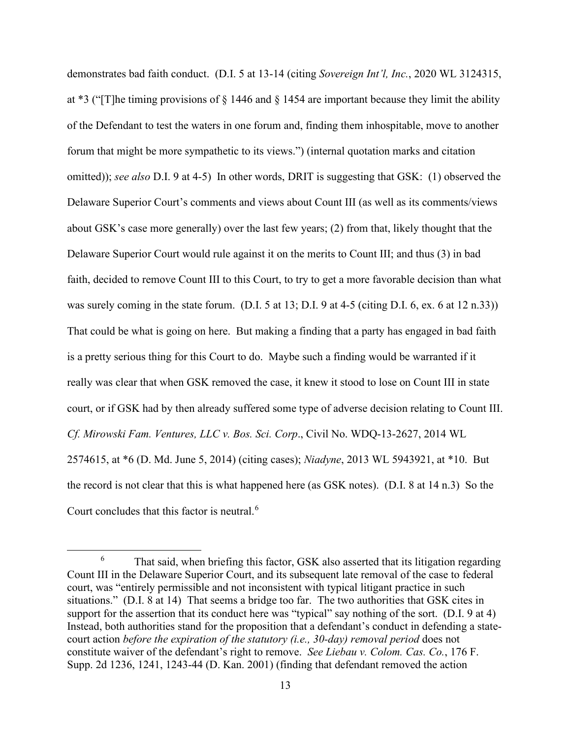demonstrates bad faith conduct. (D.I. 5 at 13-14 (citing *Sovereign Int'l, Inc.*, 2020 WL 3124315, at \*3 ("[T]he timing provisions of § 1446 and § 1454 are important because they limit the ability of the Defendant to test the waters in one forum and, finding them inhospitable, move to another forum that might be more sympathetic to its views.") (internal quotation marks and citation omitted)); *see also* D.I. 9 at 4-5) In other words, DRIT is suggesting that GSK: (1) observed the Delaware Superior Court's comments and views about Count III (as well as its comments/views about GSK's case more generally) over the last few years; (2) from that, likely thought that the Delaware Superior Court would rule against it on the merits to Count III; and thus (3) in bad faith, decided to remove Count III to this Court, to try to get a more favorable decision than what was surely coming in the state forum. (D.I. 5 at 13; D.I. 9 at 4-5 (citing D.I. 6, ex. 6 at 12 n.33)) That could be what is going on here. But making a finding that a party has engaged in bad faith is a pretty serious thing for this Court to do. Maybe such a finding would be warranted if it really was clear that when GSK removed the case, it knew it stood to lose on Count III in state court, or if GSK had by then already suffered some type of adverse decision relating to Count III. *Cf. Mirowski Fam. Ventures, LLC v. Bos. Sci. Corp*., Civil No. WDQ-13-2627, 2014 WL 2574615, at \*6 (D. Md. June 5, 2014) (citing cases); *Niadyne*, 2013 WL 5943921, at \*10. But the record is not clear that this is what happened here (as GSK notes). (D.I. 8 at 14 n.3) So the Court concludes that this factor is neutral.<sup>6</sup>

<sup>&</sup>lt;sup>6</sup> That said, when briefing this factor, GSK also asserted that its litigation regarding Count III in the Delaware Superior Court, and its subsequent late removal of the case to federal court, was "entirely permissible and not inconsistent with typical litigant practice in such situations." (D.I. 8 at 14) That seems a bridge too far. The two authorities that GSK cites in support for the assertion that its conduct here was "typical" say nothing of the sort. (D.I. 9 at 4) Instead, both authorities stand for the proposition that a defendant's conduct in defending a statecourt action *before the expiration of the statutory (i.e., 30-day) removal period* does not constitute waiver of the defendant's right to remove. *See Liebau v. Colom. Cas. Co.*, 176 F. Supp. 2d 1236, 1241, 1243-44 (D. Kan. 2001) (finding that defendant removed the action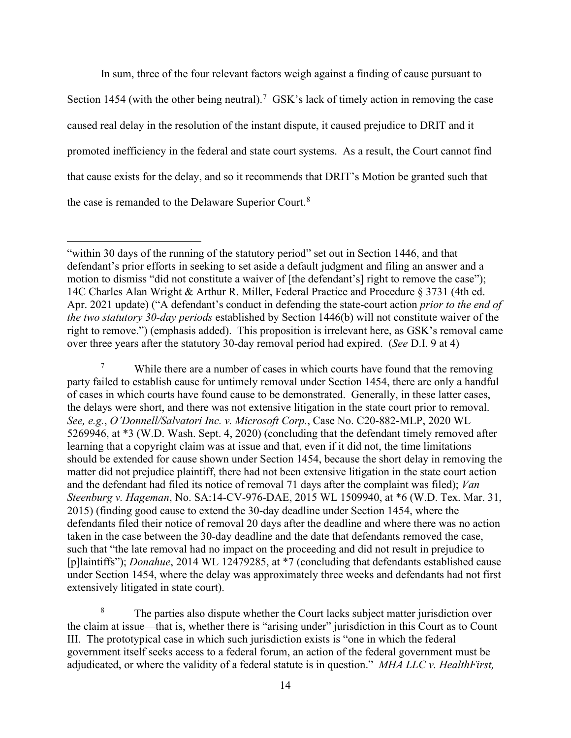In sum, three of the four relevant factors weigh against a finding of cause pursuant to

Section 1454 (with the other being neutral).<sup>7</sup> GSK's lack of timely action in removing the case caused real delay in the resolution of the instant dispute, it caused prejudice to DRIT and it promoted inefficiency in the federal and state court systems. As a result, the Court cannot find that cause exists for the delay, and so it recommends that DRIT's Motion be granted such that the case is remanded to the Delaware Superior Court.<sup>8</sup>

<sup>7</sup> While there are a number of cases in which courts have found that the removing party failed to establish cause for untimely removal under Section 1454, there are only a handful of cases in which courts have found cause to be demonstrated. Generally, in these latter cases, the delays were short, and there was not extensive litigation in the state court prior to removal. *See, e.g.*, *O'Donnell/Salvatori Inc. v. Microsoft Corp.*, Case No. C20-882-MLP, 2020 WL 5269946, at \*3 (W.D. Wash. Sept. 4, 2020) (concluding that the defendant timely removed after learning that a copyright claim was at issue and that, even if it did not, the time limitations should be extended for cause shown under Section 1454, because the short delay in removing the matter did not prejudice plaintiff, there had not been extensive litigation in the state court action and the defendant had filed its notice of removal 71 days after the complaint was filed); *Van Steenburg v. Hageman*, No. SA:14-CV-976-DAE, 2015 WL 1509940, at \*6 (W.D. Tex. Mar. 31, 2015) (finding good cause to extend the 30-day deadline under Section 1454, where the defendants filed their notice of removal 20 days after the deadline and where there was no action taken in the case between the 30-day deadline and the date that defendants removed the case, such that "the late removal had no impact on the proceeding and did not result in prejudice to [p]laintiffs"); *Donahue*, 2014 WL 12479285, at \*7 (concluding that defendants established cause under Section 1454, where the delay was approximately three weeks and defendants had not first extensively litigated in state court).

<sup>8</sup> The parties also dispute whether the Court lacks subject matter jurisdiction over the claim at issue—that is, whether there is "arising under" jurisdiction in this Court as to Count III. The prototypical case in which such jurisdiction exists is "one in which the federal government itself seeks access to a federal forum, an action of the federal government must be adjudicated, or where the validity of a federal statute is in question." *MHA LLC v. HealthFirst,* 

<sup>&</sup>quot;within 30 days of the running of the statutory period" set out in Section 1446, and that defendant's prior efforts in seeking to set aside a default judgment and filing an answer and a motion to dismiss "did not constitute a waiver of [the defendant's] right to remove the case"); 14C Charles Alan Wright & Arthur R. Miller, Federal Practice and Procedure § 3731 (4th ed. Apr. 2021 update) ("A defendant's conduct in defending the state-court action *prior to the end of the two statutory 30-day periods* established by Section 1446(b) will not constitute waiver of the right to remove.") (emphasis added). This proposition is irrelevant here, as GSK's removal came over three years after the statutory 30-day removal period had expired. (*See* D.I. 9 at 4)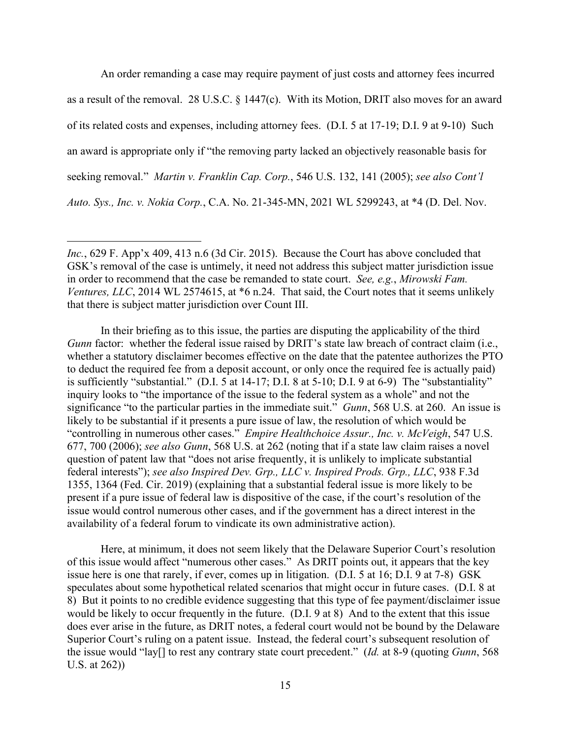An order remanding a case may require payment of just costs and attorney fees incurred as a result of the removal. 28 U.S.C. § 1447(c). With its Motion, DRIT also moves for an award of its related costs and expenses, including attorney fees. (D.I. 5 at 17-19; D.I. 9 at 9-10) Such an award is appropriate only if "the removing party lacked an objectively reasonable basis for seeking removal." *Martin v. Franklin Cap. Corp.*, 546 U.S. 132, 141 (2005); *see also Cont'l Auto. Sys., Inc. v. Nokia Corp.*, C.A. No. 21-345-MN, 2021 WL 5299243, at \*4 (D. Del. Nov.

In their briefing as to this issue, the parties are disputing the applicability of the third *Gunn* factor: whether the federal issue raised by DRIT's state law breach of contract claim (i.e., whether a statutory disclaimer becomes effective on the date that the patentee authorizes the PTO to deduct the required fee from a deposit account, or only once the required fee is actually paid) is sufficiently "substantial." (D.I. 5 at 14-17; D.I. 8 at 5-10; D.I. 9 at 6-9) The "substantiality" inquiry looks to "the importance of the issue to the federal system as a whole" and not the significance "to the particular parties in the immediate suit." *Gunn*, 568 U.S. at 260. An issue is likely to be substantial if it presents a pure issue of law, the resolution of which would be "controlling in numerous other cases." *Empire Healthchoice Assur., Inc. v. McVeigh*, 547 U.S. 677, 700 (2006); *see also Gunn*, 568 U.S. at 262 (noting that if a state law claim raises a novel question of patent law that "does not arise frequently, it is unlikely to implicate substantial federal interests"); *see also Inspired Dev. Grp., LLC v. Inspired Prods. Grp., LLC*, 938 F.3d 1355, 1364 (Fed. Cir. 2019) (explaining that a substantial federal issue is more likely to be present if a pure issue of federal law is dispositive of the case, if the court's resolution of the issue would control numerous other cases, and if the government has a direct interest in the availability of a federal forum to vindicate its own administrative action).

Here, at minimum, it does not seem likely that the Delaware Superior Court's resolution of this issue would affect "numerous other cases." As DRIT points out, it appears that the key issue here is one that rarely, if ever, comes up in litigation. (D.I. 5 at 16; D.I. 9 at 7-8) GSK speculates about some hypothetical related scenarios that might occur in future cases. (D.I. 8 at 8) But it points to no credible evidence suggesting that this type of fee payment/disclaimer issue would be likely to occur frequently in the future. (D.I. 9 at 8) And to the extent that this issue does ever arise in the future, as DRIT notes, a federal court would not be bound by the Delaware Superior Court's ruling on a patent issue. Instead, the federal court's subsequent resolution of the issue would "lay[] to rest any contrary state court precedent." (*Id.* at 8-9 (quoting *Gunn*, 568 U.S. at 262))

*Inc.*, 629 F. App'x 409, 413 n.6 (3d Cir. 2015). Because the Court has above concluded that GSK's removal of the case is untimely, it need not address this subject matter jurisdiction issue in order to recommend that the case be remanded to state court. *See, e.g.*, *Mirowski Fam. Ventures, LLC*, 2014 WL 2574615, at \*6 n.24. That said, the Court notes that it seems unlikely that there is subject matter jurisdiction over Count III.